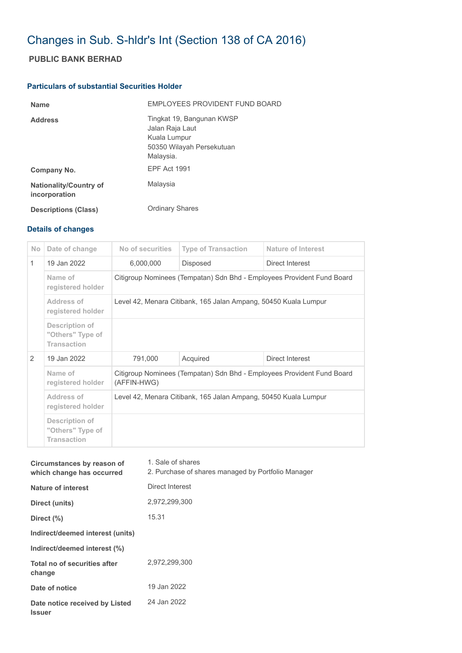## Changes in Sub. S-hldr's Int (Section 138 of CA 2016)

## **PUBLIC BANK BERHAD**

## **Particulars of substantial Securities Holder**

| <b>Name</b>                                    | EMPLOYEES PROVIDENT FUND BOARD                                                                         |
|------------------------------------------------|--------------------------------------------------------------------------------------------------------|
| <b>Address</b>                                 | Tingkat 19, Bangunan KWSP<br>Jalan Raja Laut<br>Kuala Lumpur<br>50350 Wilayah Persekutuan<br>Malaysia. |
| Company No.                                    | <b>EPF Act 1991</b>                                                                                    |
| <b>Nationality/Country of</b><br>incorporation | Malaysia                                                                                               |
| <b>Descriptions (Class)</b>                    | <b>Ordinary Shares</b>                                                                                 |

## **Details of changes**

| N <sub>o</sub> | Date of change                                                  | No of securities                                                                      | <b>Type of Transaction</b> | <b>Nature of Interest</b> |  |
|----------------|-----------------------------------------------------------------|---------------------------------------------------------------------------------------|----------------------------|---------------------------|--|
| $\mathbf{1}$   | 19 Jan 2022                                                     | 6,000,000                                                                             | <b>Disposed</b>            | Direct Interest           |  |
|                | Name of<br>registered holder                                    | Citigroup Nominees (Tempatan) Sdn Bhd - Employees Provident Fund Board                |                            |                           |  |
|                | Address of<br>registered holder                                 | Level 42, Menara Citibank, 165 Jalan Ampang, 50450 Kuala Lumpur                       |                            |                           |  |
|                | <b>Description of</b><br>"Others" Type of<br><b>Transaction</b> |                                                                                       |                            |                           |  |
| 2              | 19 Jan 2022<br>791,000                                          |                                                                                       | Acquired                   | Direct Interest           |  |
|                | Name of<br>registered holder                                    | Citigroup Nominees (Tempatan) Sdn Bhd - Employees Provident Fund Board<br>(AFFIN-HWG) |                            |                           |  |
|                | Address of<br>registered holder                                 | Level 42, Menara Citibank, 165 Jalan Ampang, 50450 Kuala Lumpur                       |                            |                           |  |
|                | <b>Description of</b><br>"Others" Type of<br><b>Transaction</b> |                                                                                       |                            |                           |  |

| Circumstances by reason of<br>which change has occurred | 1. Sale of shares<br>2. Purchase of shares managed by Portfolio Manager |
|---------------------------------------------------------|-------------------------------------------------------------------------|
| Nature of interest                                      | Direct Interest                                                         |
| Direct (units)                                          | 2,972,299,300                                                           |
| Direct $(\%)$                                           | 15.31                                                                   |
| Indirect/deemed interest (units)                        |                                                                         |
| Indirect/deemed interest (%)                            |                                                                         |
| Total no of securities after<br>change                  | 2,972,299,300                                                           |
| Date of notice                                          | 19 Jan 2022                                                             |
| Date notice received by Listed<br><b>Issuer</b>         | 24 Jan 2022                                                             |